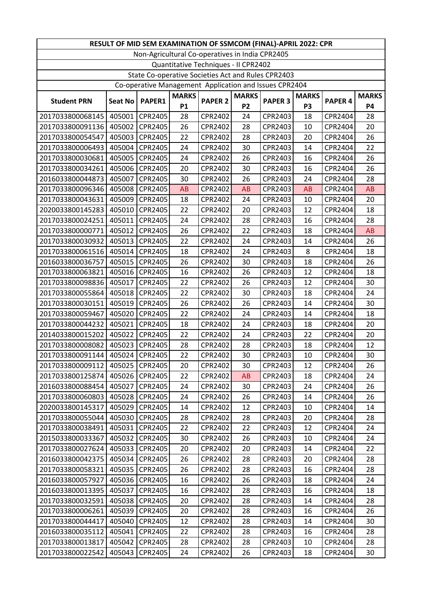| RESULT OF MID SEM EXAMINATION OF SSMCOM (FINAL)-APRIL 2022: CPR |                |         |              |                |              |                |                |                    |              |
|-----------------------------------------------------------------|----------------|---------|--------------|----------------|--------------|----------------|----------------|--------------------|--------------|
| Non-Agricultural Co-operatives in India CPR2405                 |                |         |              |                |              |                |                |                    |              |
| Quantitative Techniques - Il CPR2402                            |                |         |              |                |              |                |                |                    |              |
| State Co-operative Societies Act and Rules CPR2403              |                |         |              |                |              |                |                |                    |              |
| Co-operative Management Application and Issues CPR2404          |                |         |              |                |              |                |                |                    |              |
| <b>Student PRN</b>                                              | <b>Seat No</b> | PAPER1  | <b>MARKS</b> | <b>PAPER 2</b> | <b>MARKS</b> | <b>PAPER 3</b> | <b>MARKS</b>   | PAPER <sub>4</sub> | <b>MARKS</b> |
|                                                                 |                |         | <b>P1</b>    |                | <b>P2</b>    |                | P <sub>3</sub> |                    | <b>P4</b>    |
| 2017033800068145                                                | 405001         | CPR2405 | 28           | CPR2402        | 24           | CPR2403        | 18             | CPR2404            | 28           |
| 2017033800091136                                                | 405002         | CPR2405 | 26           | CPR2402        | 28           | CPR2403        | 10             | CPR2404            | 20           |
| 2017033800054547                                                | 405003         | CPR2405 | 22           | CPR2402        | 28           | CPR2403        | 20             | CPR2404            | 26           |
| 2017033800006493                                                | 405004         | CPR2405 | 24           | CPR2402        | 30           | CPR2403        | 14             | CPR2404            | 22           |
| 2017033800030681                                                | 405005         | CPR2405 | 24           | CPR2402        | 26           | CPR2403        | 16             | CPR2404            | 26           |
| 2017033800034261                                                | 405006         | CPR2405 | 20           | CPR2402        | 30           | CPR2403        | 16             | CPR2404            | 26           |
| 2016033800044873                                                | 405007         | CPR2405 | 30           | CPR2402        | 26           | CPR2403        | 24             | CPR2404            | 28           |
| 2017033800096346                                                | 405008         | CPR2405 | AB           | CPR2402        | <b>AB</b>    | CPR2403        | AB             | CPR2404            | AB           |
| 2017033800043631                                                | 405009         | CPR2405 | 18           | CPR2402        | 24           | CPR2403        | 10             | CPR2404            | 20           |
| 2020033800145283                                                | 405010         | CPR2405 | 22           | CPR2402        | 20           | CPR2403        | 12             | CPR2404            | 18           |
| 2017033800024251                                                | 405011         | CPR2405 | 24           | CPR2402        | 28           | CPR2403        | 16             | CPR2404            | 28           |
| 2017033800000771                                                | 405012         | CPR2405 | 26           | CPR2402        | 22           | CPR2403        | 18             | CPR2404            | <b>AB</b>    |
| 2017033800030932                                                | 405013         | CPR2405 | 22           | CPR2402        | 24           | CPR2403        | 14             | CPR2404            | 26           |
| 2017033800061516                                                | 405014         | CPR2405 | 18           | CPR2402        | 24           | CPR2403        | 8              | CPR2404            | 18           |
| 2016033800036757                                                | 405015         | CPR2405 | 26           | CPR2402        | 30           | CPR2403        | 18             | CPR2404            | 26           |
| 2017033800063821                                                | 405016         | CPR2405 | 16           | CPR2402        | 26           | CPR2403        | 12             | CPR2404            | 18           |
| 2017033800098836                                                | 405017         | CPR2405 | 22           | CPR2402        | 26           | CPR2403        | 12             | CPR2404            | 30           |
| 2017033800055864                                                | 405018         | CPR2405 | 22           | CPR2402        | 30           | CPR2403        | 18             | CPR2404            | 24           |
| 2017033800030151                                                | 405019         | CPR2405 | 26           | CPR2402        | 26           | CPR2403        | 14             | CPR2404            | 30           |
| 2017033800059467                                                | 405020         | CPR2405 | 22           | CPR2402        | 24           | CPR2403        | 14             | CPR2404            | 18           |
| 2017033800044232                                                | 405021         | CPR2405 | 18           | CPR2402        | 24           | CPR2403        | 18             | CPR2404            | 20           |
| 2014033800015202                                                | 405022         | CPR2405 | 22           | CPR2402        | 24           | CPR2403        | 22             | CPR2404            | 20           |
| 2017033800008082                                                | 405023         | CPR2405 | 28           | CPR2402        | 28           | CPR2403        | 18             | CPR2404            | 12           |
| 2017033800091144                                                | 405024         | CPR2405 | 22           | CPR2402        | 30           | CPR2403        | 10             | CPR2404            | 30           |
| 2017033800009112                                                | 405025         | CPR2405 | 20           | CPR2402        | 30           | CPR2403        | 12             | CPR2404            | 26           |
| 2017033800125874                                                | 405026         | CPR2405 | 22           | CPR2402        | AB           | CPR2403        | 18             | CPR2404            | 24           |
| 2016033800088454                                                | 405027         | CPR2405 | 24           | CPR2402        | 30           | CPR2403        | 24             | CPR2404            | 26           |
| 2017033800060803                                                | 405028         | CPR2405 | 24           | CPR2402        | 26           | CPR2403        | 14             | CPR2404            | 26           |
| 2020033800145317                                                | 405029         | CPR2405 | 14           | CPR2402        | 12           | CPR2403        | 10             | CPR2404            | 14           |
| 2017033800055044                                                | 405030         | CPR2405 | 28           | CPR2402        | 28           | CPR2403        | 20             | CPR2404            | 28           |
| 2017033800038491                                                | 405031         | CPR2405 | 22           | CPR2402        | 22           | CPR2403        | 12             | CPR2404            | 24           |
| 2015033800033367                                                | 405032         | CPR2405 | 30           | CPR2402        | 26           | CPR2403        | 10             | CPR2404            | 24           |
| 2017033800027624                                                | 405033         | CPR2405 | 20           | CPR2402        | 20           | CPR2403        | 14             | CPR2404            | 22           |
| 2016033800042375                                                | 405034         | CPR2405 | 26           | CPR2402        | 28           | CPR2403        | 20             | CPR2404            | 28           |
| 2017033800058321                                                | 405035         | CPR2405 | 26           | CPR2402        | 28           | CPR2403        | 16             | CPR2404            | 28           |
| 2016033800057927                                                | 405036         | CPR2405 | 16           | CPR2402        | 26           | CPR2403        | 18             | CPR2404            | 24           |
| 2016033800013395                                                | 405037         | CPR2405 | 16           | CPR2402        | 28           | CPR2403        | 16             | CPR2404            | 18           |
| 2017033800032591                                                | 405038         | CPR2405 | 20           | CPR2402        | 28           | CPR2403        | 14             | CPR2404            | 28           |
| 2017033800006261                                                | 405039         | CPR2405 | 20           | CPR2402        | 28           | CPR2403        | 16             | CPR2404            | 26           |
| 2017033800044417                                                | 405040         | CPR2405 | 12           | CPR2402        | 28           | CPR2403        | 14             | CPR2404            | 30           |
| 2016033800035112                                                | 405041         | CPR2405 | 22           | CPR2402        | 28           | CPR2403        | 16             | CPR2404            | 28           |
| 2017033800013817                                                | 405042         | CPR2405 | 28           | CPR2402        | 28           | CPR2403        | 10             | CPR2404            | 28           |
| 2017033800022542                                                | 405043         | CPR2405 | 24           | CPR2402        | 26           | CPR2403        | 18             | CPR2404            | 30           |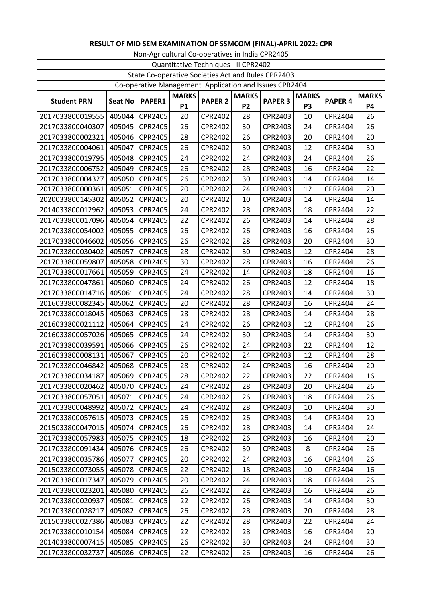| RESULT OF MID SEM EXAMINATION OF SSMCOM (FINAL)-APRIL 2022: CPR |                |                |              |                |                |                |                |                |              |
|-----------------------------------------------------------------|----------------|----------------|--------------|----------------|----------------|----------------|----------------|----------------|--------------|
| Non-Agricultural Co-operatives in India CPR2405                 |                |                |              |                |                |                |                |                |              |
| Quantitative Techniques - II CPR2402                            |                |                |              |                |                |                |                |                |              |
| State Co-operative Societies Act and Rules CPR2403              |                |                |              |                |                |                |                |                |              |
| Co-operative Management Application and Issues CPR2404          |                |                |              |                |                |                |                |                |              |
|                                                                 |                |                | <b>MARKS</b> |                | <b>MARKS</b>   |                | <b>MARKS</b>   |                | <b>MARKS</b> |
| <b>Student PRN</b>                                              | <b>Seat No</b> | PAPER1         | <b>P1</b>    | <b>PAPER 2</b> | P <sub>2</sub> | <b>PAPER 3</b> | P <sub>3</sub> | <b>PAPER 4</b> | <b>P4</b>    |
| 2017033800019555                                                | 405044         | CPR2405        | 20           | CPR2402        | 28             | CPR2403        | 10             | CPR2404        | 26           |
| 2017033800040307                                                | 405045         | CPR2405        | 26           | CPR2402        | 30             | CPR2403        | 24             | CPR2404        | 26           |
| 2017033800002321                                                | 405046         | CPR2405        | 28           | CPR2402        | 26             | CPR2403        | 20             | CPR2404        | 20           |
| 2017033800004061                                                | 405047         | CPR2405        | 26           | CPR2402        | 30             | CPR2403        | 12             | CPR2404        | 30           |
| 2017033800019795                                                | 405048         | CPR2405        | 24           | CPR2402        | 24             | CPR2403        | 24             | CPR2404        | 26           |
| 2017033800006752                                                | 405049         | <b>CPR2405</b> | 26           | CPR2402        | 28             | CPR2403        | 16             | CPR2404        | 22           |
| 2017033800004327                                                | 405050         | CPR2405        | 26           | CPR2402        | 30             | CPR2403        | 14             | CPR2404        | 14           |
| 2017033800000361                                                | 405051         | CPR2405        | 20           | CPR2402        | 24             | CPR2403        | 12             | CPR2404        | 20           |
| 2020033800145302                                                | 405052         | CPR2405        | 20           | CPR2402        | 10             | CPR2403        | 14             | CPR2404        | 14           |
| 2014033800012962                                                | 405053         | CPR2405        | 24           | CPR2402        | 28             | CPR2403        | 18             | CPR2404        | 22           |
| 2017033800017096                                                | 405054         | CPR2405        | 22           | CPR2402        | 26             | CPR2403        | 14             | CPR2404        | 28           |
| 2017033800054002                                                | 405055         | CPR2405        | 26           | CPR2402        | 26             | CPR2403        | 16             | CPR2404        | 26           |
| 2017033800046602                                                | 405056         | CPR2405        | 26           | CPR2402        | 28             | CPR2403        | 20             | CPR2404        | 30           |
| 2017033800030402                                                | 405057         | CPR2405        | 28           | CPR2402        | 30             | CPR2403        | 12             | CPR2404        | 28           |
| 2017033800059807                                                | 405058         | CPR2405        | 30           | CPR2402        | 28             | CPR2403        | 16             | CPR2404        | 26           |
| 2017033800017661                                                | 405059         | CPR2405        | 24           | CPR2402        | 14             | CPR2403        | 18             | CPR2404        | 16           |
| 2017033800047861                                                | 405060         | CPR2405        | 24           | CPR2402        | 26             | CPR2403        | 12             | CPR2404        | 18           |
| 2017033800014716                                                | 405061         | CPR2405        | 24           | CPR2402        | 28             | CPR2403        | 14             | CPR2404        | 30           |
| 2016033800082345                                                | 405062         | CPR2405        | 20           | CPR2402        | 28             | CPR2403        | 16             | CPR2404        | 24           |
| 2017033800018045                                                | 405063         | CPR2405        | 28           | CPR2402        | 28             | CPR2403        | 14             | CPR2404        | 28           |
| 2016033800021112                                                | 405064         | CPR2405        | 24           | CPR2402        | 26             | CPR2403        | 12             | CPR2404        | 26           |
| 2016033800057026                                                | 405065         | CPR2405        | 24           | CPR2402        | 30             | CPR2403        | 14             | CPR2404        | 30           |
| 2017033800039591                                                | 405066         | CPR2405        | 26           | CPR2402        | 24             | CPR2403        | 22             | CPR2404        | 12           |
| 2016033800008131                                                | 405067         | CPR2405        | 20           | CPR2402        | 24             | CPR2403        | 12             | CPR2404        | 28           |
| 2017033800046842                                                | 405068         | CPR2405        | 28           | CPR2402        | 24             | CPR2403        | 16             | CPR2404        | 20           |
| 2017033800034187                                                | 405069         | CPR2405        | 28           | CPR2402        | 22             | CPR2403        | 22             | CPR2404        | 16           |
| 2017033800020462                                                | 405070         | CPR2405        | 24           | CPR2402        | 28             | CPR2403        | 20             | CPR2404        | 26           |
| 2017033800057051                                                | 405071         | CPR2405        | 24           | CPR2402        | 26             | CPR2403        | 18             | CPR2404        | 26           |
| 2017033800048992                                                | 405072         | CPR2405        | 24           | CPR2402        | 28             | CPR2403        | 10             | CPR2404        | 30           |
| 2017033800057615                                                | 405073         | CPR2405        | 26           | CPR2402        | 26             | CPR2403        | 14             | CPR2404        | 20           |
| 2015033800047015                                                | 405074         | CPR2405        | 26           | CPR2402        | 28             | CPR2403        | 14             | CPR2404        | 24           |
| 2017033800057983                                                | 405075         | CPR2405        | 18           | CPR2402        | 26             | CPR2403        | 16             | CPR2404        | 20           |
| 2017033800091434                                                | 405076         | CPR2405        | 26           | CPR2402        | 30             | CPR2403        | 8              | CPR2404        | 26           |
| 2017033800035786                                                | 405077         | CPR2405        | 20           | CPR2402        | 24             | CPR2403        | 16             | CPR2404        | 26           |
| 2015033800073055                                                | 405078         | CPR2405        | 22           | CPR2402        | 18             | CPR2403        | 10             | CPR2404        | 16           |
| 2017033800017347                                                | 405079         | CPR2405        | 20           | CPR2402        | 24             | CPR2403        | 18             | CPR2404        | 26           |
| 2017033800023201                                                | 405080         | CPR2405        | 26           | CPR2402        | 22             | CPR2403        | 16             | CPR2404        | 26           |
| 2017033800020937                                                | 405081         | CPR2405        | 22           | CPR2402        | 26             | CPR2403        | 14             | CPR2404        | 30           |
| 2017033800028217                                                | 405082         | CPR2405        | 26           | CPR2402        | 28             | CPR2403        | 20             | CPR2404        | 28           |
| 2015033800027386                                                | 405083         | CPR2405        | 22           | CPR2402        | 28             | CPR2403        | 22             | CPR2404        | 24           |
| 2017033800010154                                                | 405084         | CPR2405        | 22           | CPR2402        | 28             | CPR2403        | 16             | CPR2404        | 20           |
| 2014033800007415                                                | 405085         | CPR2405        | 26           | CPR2402        | 30             | CPR2403        | 24             | CPR2404        | 30           |
| 2017033800032737                                                | 405086         | CPR2405        | 22           | CPR2402        | 26             | CPR2403        | 16             | CPR2404        | 26           |